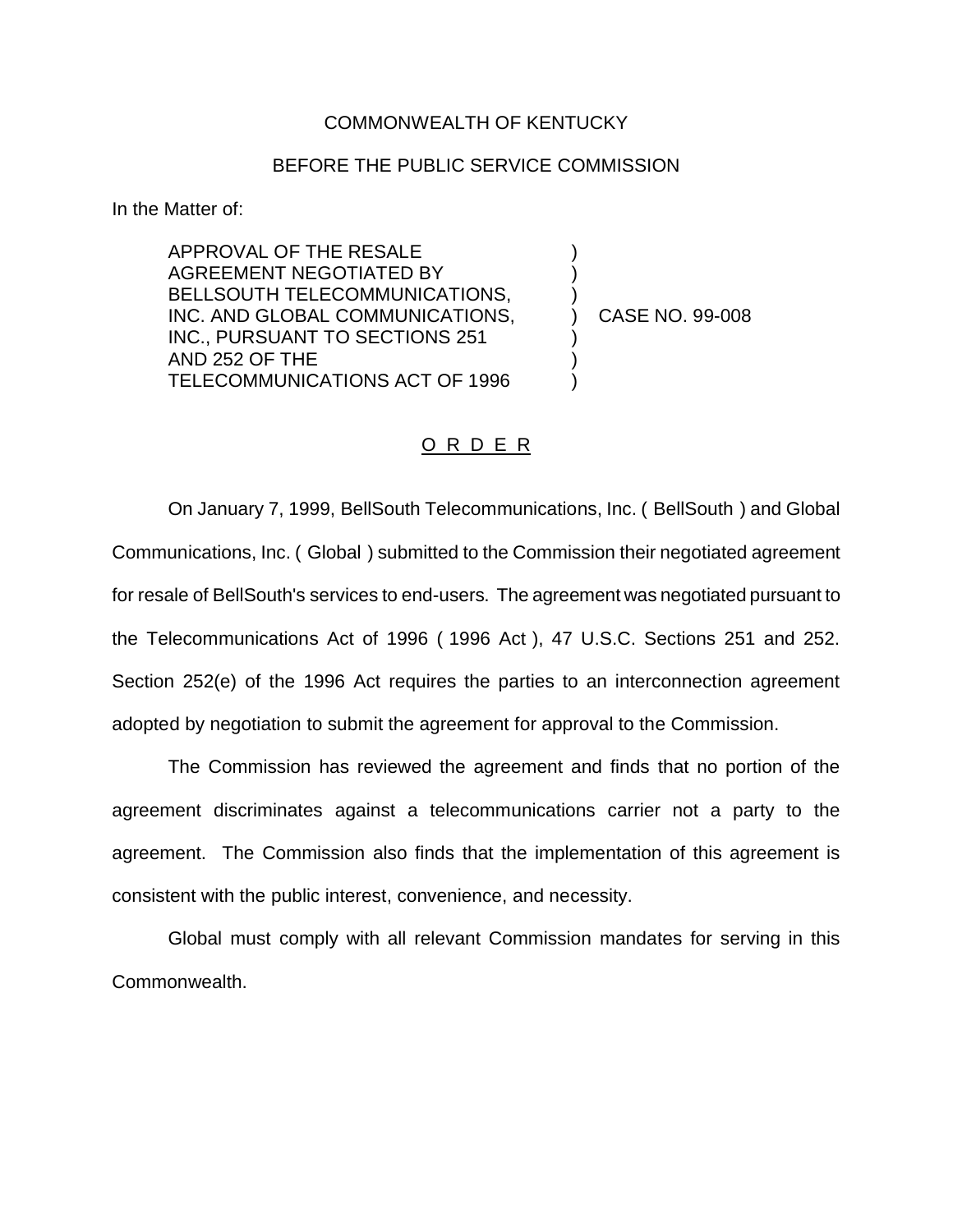## COMMONWEALTH OF KENTUCKY

## BEFORE THE PUBLIC SERVICE COMMISSION

In the Matter of:

APPROVAL OF THE RESALE AGREEMENT NEGOTIATED BY BELLSOUTH TELECOMMUNICATIONS, INC. AND GLOBAL COMMUNICATIONS, INC., PURSUANT TO SECTIONS 251 AND 252 OF THE TELECOMMUNICATIONS ACT OF 1996

) CASE NO. 99-008

) ) )

) ) )

## O R D E R

On January 7, 1999, BellSouth Telecommunications, Inc. ( BellSouth ) and Global Communications, Inc. ( Global ) submitted to the Commission their negotiated agreement for resale of BellSouth's services to end-users. The agreement was negotiated pursuant to the Telecommunications Act of 1996 ( 1996 Act ), 47 U.S.C. Sections 251 and 252. Section 252(e) of the 1996 Act requires the parties to an interconnection agreement adopted by negotiation to submit the agreement for approval to the Commission.

The Commission has reviewed the agreement and finds that no portion of the agreement discriminates against a telecommunications carrier not a party to the agreement. The Commission also finds that the implementation of this agreement is consistent with the public interest, convenience, and necessity.

Global must comply with all relevant Commission mandates for serving in this Commonwealth.